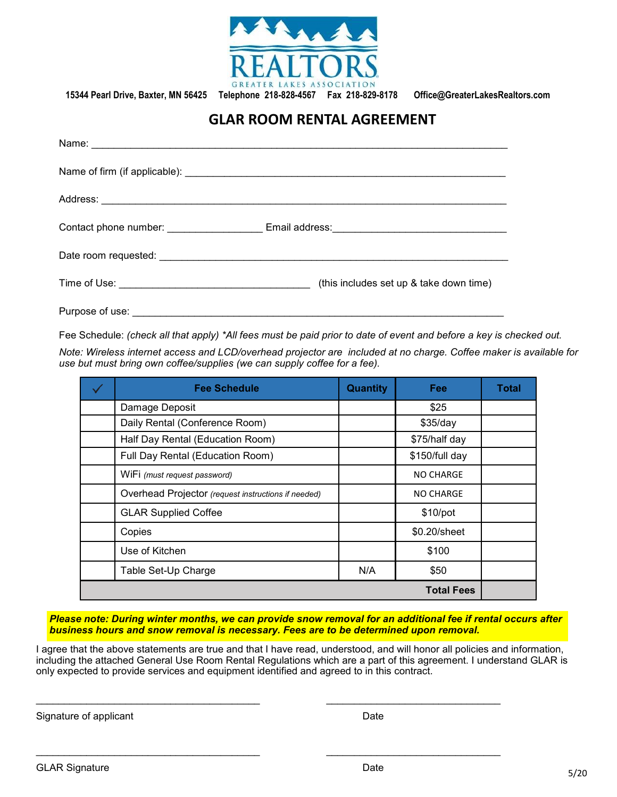

**15344 Pearl Drive, Baxter, MN 56425 Telephone 218-828-4567 Fax 218-829-8178 Office@GreaterLakesRealtors.com**

## **GLAR ROOM RENTAL AGREEMENT**

| Contact phone number: ______________________Email address:_______________________ |
|-----------------------------------------------------------------------------------|
|                                                                                   |
| (this includes set up & take down time)                                           |
|                                                                                   |

Purpose of use:

Fee Schedule: *(check all that apply) \*All fees must be paid prior to date of event and before a key is checked out.*

*Note: Wireless internet access and LCD/overhead projector are included at no charge. Coffee maker is available for use but must bring own coffee/supplies (we can supply coffee for a fee).*

|                   | <b>Fee Schedule</b>                                 | <b>Quantity</b> | Fee              | <b>Total</b> |
|-------------------|-----------------------------------------------------|-----------------|------------------|--------------|
|                   | Damage Deposit                                      |                 | \$25             |              |
|                   | Daily Rental (Conference Room)                      |                 | \$35/day         |              |
|                   | Half Day Rental (Education Room)                    |                 | \$75/half day    |              |
|                   | Full Day Rental (Education Room)                    |                 | \$150/full day   |              |
|                   | WiFi (must request password)                        |                 | <b>NO CHARGE</b> |              |
|                   | Overhead Projector (request instructions if needed) |                 | <b>NO CHARGE</b> |              |
|                   | <b>GLAR Supplied Coffee</b>                         |                 | \$10/pot         |              |
|                   | Copies                                              |                 | \$0.20/sheet     |              |
|                   | Use of Kitchen                                      |                 | \$100            |              |
|                   | Table Set-Up Charge                                 | N/A             | \$50             |              |
| <b>Total Fees</b> |                                                     |                 |                  |              |

*Please note: During winter months, we can provide snow removal for an additional fee if rental occurs after business hours and snow removal is necessary. Fees are to be determined upon removal.*

I agree that the above statements are true and that I have read, understood, and will honor all policies and information, including the attached General Use Room Rental Regulations which are a part of this agreement. I understand GLAR is only expected to provide services and equipment identified and agreed to in this contract.

\_\_\_\_\_\_\_\_\_\_\_\_\_\_\_\_\_\_\_\_\_\_\_\_\_\_\_\_\_\_\_\_\_\_\_\_\_\_\_\_ \_\_\_\_\_\_\_\_\_\_\_\_\_\_\_\_\_\_\_\_\_\_\_\_\_\_\_\_\_\_\_

\_\_\_\_\_\_\_\_\_\_\_\_\_\_\_\_\_\_\_\_\_\_\_\_\_\_\_\_\_\_\_\_\_\_\_\_\_\_\_\_ \_\_\_\_\_\_\_\_\_\_\_\_\_\_\_\_\_\_\_\_\_\_\_\_\_\_\_\_\_\_\_

Signature of applicant Date Date Date Date Date